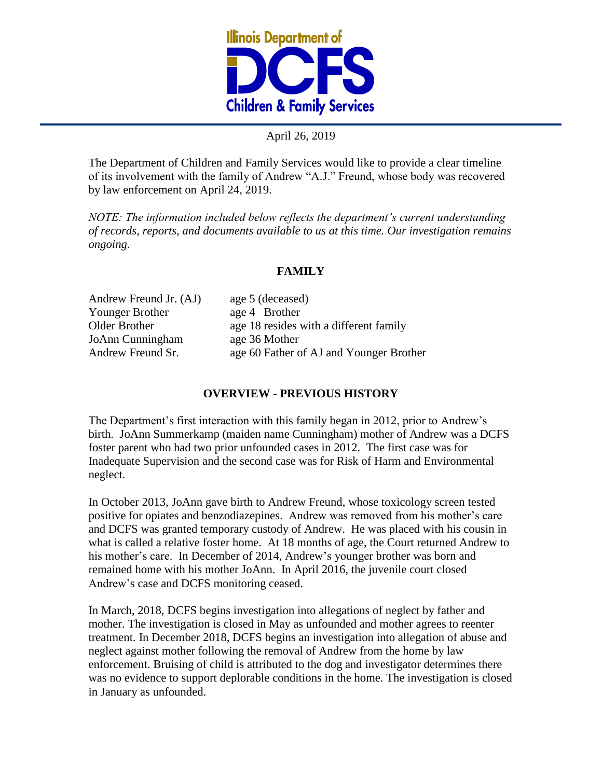

## April 26, 2019

The Department of Children and Family Services would like to provide a clear timeline of its involvement with the family of Andrew "A.J." Freund, whose body was recovered by law enforcement on April 24, 2019.

*NOTE: The information included below reflects the department's current understanding of records, reports, and documents available to us at this time. Our investigation remains ongoing.* 

## **FAMILY**

Andrew Freund Jr. (AJ) age 5 (deceased) Younger Brother age 4 Brother JoAnn Cunningham age 36 Mother

Older Brother age 18 resides with a different family Andrew Freund Sr. age 60 Father of AJ and Younger Brother

## **OVERVIEW - PREVIOUS HISTORY**

The Department's first interaction with this family began in 2012, prior to Andrew's birth. JoAnn Summerkamp (maiden name Cunningham) mother of Andrew was a DCFS foster parent who had two prior unfounded cases in 2012. The first case was for Inadequate Supervision and the second case was for Risk of Harm and Environmental neglect.

In October 2013, JoAnn gave birth to Andrew Freund, whose toxicology screen tested positive for opiates and benzodiazepines. Andrew was removed from his mother's care and DCFS was granted temporary custody of Andrew. He was placed with his cousin in what is called a relative foster home. At 18 months of age, the Court returned Andrew to his mother's care. In December of 2014, Andrew's younger brother was born and remained home with his mother JoAnn. In April 2016, the juvenile court closed Andrew's case and DCFS monitoring ceased.

In March, 2018, DCFS begins investigation into allegations of neglect by father and mother. The investigation is closed in May as unfounded and mother agrees to reenter treatment. In December 2018, DCFS begins an investigation into allegation of abuse and neglect against mother following the removal of Andrew from the home by law enforcement. Bruising of child is attributed to the dog and investigator determines there was no evidence to support deplorable conditions in the home. The investigation is closed in January as unfounded.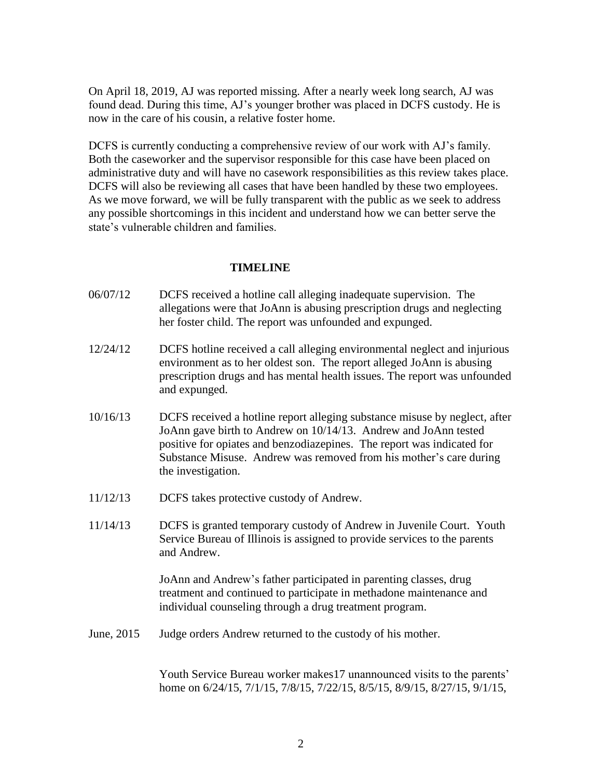On April 18, 2019, AJ was reported missing. After a nearly week long search, AJ was found dead. During this time, AJ's younger brother was placed in DCFS custody. He is now in the care of his cousin, a relative foster home.

DCFS is currently conducting a comprehensive review of our work with AJ's family. Both the caseworker and the supervisor responsible for this case have been placed on administrative duty and will have no casework responsibilities as this review takes place. DCFS will also be reviewing all cases that have been handled by these two employees. As we move forward, we will be fully transparent with the public as we seek to address any possible shortcomings in this incident and understand how we can better serve the state's vulnerable children and families.

## **TIMELINE**

- 06/07/12 DCFS received a hotline call alleging inadequate supervision. The allegations were that JoAnn is abusing prescription drugs and neglecting her foster child. The report was unfounded and expunged.
- 12/24/12 DCFS hotline received a call alleging environmental neglect and injurious environment as to her oldest son. The report alleged JoAnn is abusing prescription drugs and has mental health issues. The report was unfounded and expunged.
- 10/16/13 DCFS received a hotline report alleging substance misuse by neglect, after JoAnn gave birth to Andrew on 10/14/13. Andrew and JoAnn tested positive for opiates and benzodiazepines. The report was indicated for Substance Misuse. Andrew was removed from his mother's care during the investigation.
- 11/12/13 DCFS takes protective custody of Andrew.
- 11/14/13 DCFS is granted temporary custody of Andrew in Juvenile Court. Youth Service Bureau of Illinois is assigned to provide services to the parents and Andrew.

JoAnn and Andrew's father participated in parenting classes, drug treatment and continued to participate in methadone maintenance and individual counseling through a drug treatment program.

June, 2015 Judge orders Andrew returned to the custody of his mother.

Youth Service Bureau worker makes17 unannounced visits to the parents' home on 6/24/15, 7/1/15, 7/8/15, 7/22/15, 8/5/15, 8/9/15, 8/27/15, 9/1/15,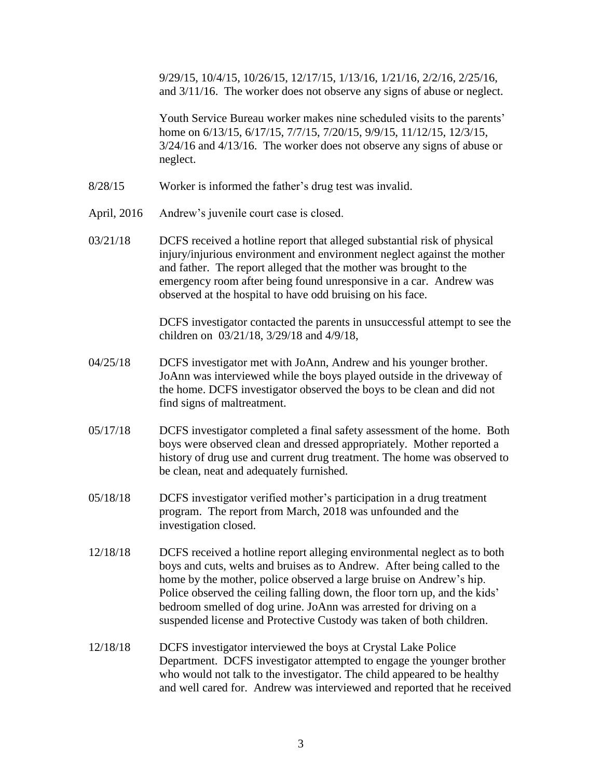9/29/15, 10/4/15, 10/26/15, 12/17/15, 1/13/16, 1/21/16, 2/2/16, 2/25/16, and 3/11/16. The worker does not observe any signs of abuse or neglect.

Youth Service Bureau worker makes nine scheduled visits to the parents' home on 6/13/15, 6/17/15, 7/7/15, 7/20/15, 9/9/15, 11/12/15, 12/3/15, 3/24/16 and 4/13/16. The worker does not observe any signs of abuse or neglect.

- 8/28/15 Worker is informed the father's drug test was invalid.
- April, 2016 Andrew's juvenile court case is closed.
- 03/21/18 DCFS received a hotline report that alleged substantial risk of physical injury/injurious environment and environment neglect against the mother and father. The report alleged that the mother was brought to the emergency room after being found unresponsive in a car. Andrew was observed at the hospital to have odd bruising on his face.

DCFS investigator contacted the parents in unsuccessful attempt to see the children on 03/21/18, 3/29/18 and 4/9/18,

- 04/25/18 DCFS investigator met with JoAnn, Andrew and his younger brother. JoAnn was interviewed while the boys played outside in the driveway of the home. DCFS investigator observed the boys to be clean and did not find signs of maltreatment.
- 05/17/18 DCFS investigator completed a final safety assessment of the home. Both boys were observed clean and dressed appropriately. Mother reported a history of drug use and current drug treatment. The home was observed to be clean, neat and adequately furnished.
- 05/18/18 DCFS investigator verified mother's participation in a drug treatment program. The report from March, 2018 was unfounded and the investigation closed.
- 12/18/18 DCFS received a hotline report alleging environmental neglect as to both boys and cuts, welts and bruises as to Andrew. After being called to the home by the mother, police observed a large bruise on Andrew's hip. Police observed the ceiling falling down, the floor torn up, and the kids' bedroom smelled of dog urine. JoAnn was arrested for driving on a suspended license and Protective Custody was taken of both children.
- 12/18/18 DCFS investigator interviewed the boys at Crystal Lake Police Department. DCFS investigator attempted to engage the younger brother who would not talk to the investigator. The child appeared to be healthy and well cared for. Andrew was interviewed and reported that he received